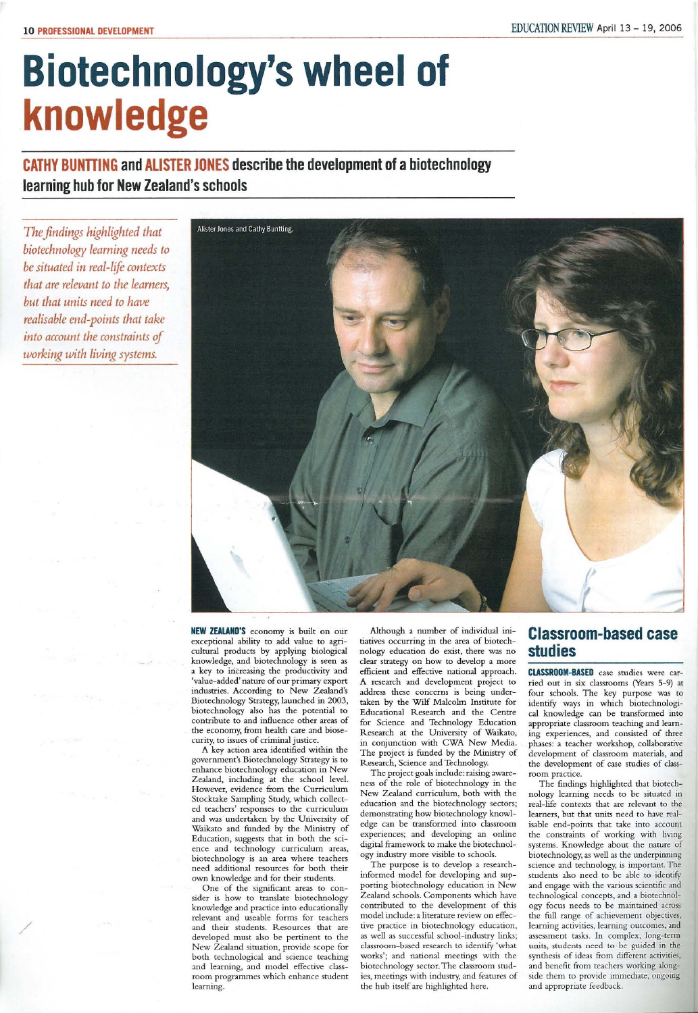# **Biotechnology's wheel of knowledge**

**CATHY BUNTTING and ALISTER JONES describe the development of a biotechnology learning hub for New Zealand's schools** 

The *findings highlighted that biotechnology learning needs to be situated in real-life contexts that are relevant to the learners, but that units need to have realisable end-points that take*  into account the constraints of *working with living systems.* 



**NEW ZEALAND'S** economy is built on our exceptional ability to add value to agricultural products by applying biological knowledge, and biotechnology is seen as a key to iricreasing the productivity and 'value-added' nature of our primary export industries. According to New Zealand's Biotechnology Strategy, launched in 2003, biotechnology also has the potential to contribute to and influence other areas of the economy, from health care and biosecurity, to issues of criminal justice.

A key action area identified within the government's Biotechnology Strategy is to enhance biotechnology education in New Zealand, including at the school level. However, evidence from the Curriculum Stocktake Sampling Study, which collected teachers' responses to the curriculum and was undertaken by the University of Waikato and funded by the Ministry of Education, suggests that in both the science and technology curriculum areas, biotechnology is an area where teachers need additional resources for both their own knowledge and for their students.

One of the significant areas to consider is how to translate biotechnology knowledge and practice into educationally relevant and useable forms for teachers and their students. Resources that are developed must also be pertinent to the New Zealand situation, provide scope for both technological and science teaching and learning, and model effective classroom programmes which enhance student learning.

Although a number of individual initiatives occurring in the area of biotechnology education do exist, there was no clear strategy on how to develop a more efficient and effective national approach. A research and development project to address these concerns is being undertaken by the Wilf Malcolm Institute for Educational Research and the Centre for Science and Technology Education Research at the University of Waikato, in conjunction with CWA New Media. The project is funded by the Ministry of Research, Science and Technology.

The project goals include: raising awareness of the role of biotechnology in the New Zealand curriculum, both with the education and the biotechnology sectors; demonstrating how biotechnology knowledge can be transformed into classroom experiences; and developing an online digital framework to make the biotechnology industry more visible to schools.

The purpose is to develop a researchinformed model for developing and supporting biotechnology education in New Zealand schools. Components which have contributed to the development of this model include: a literature review on effective practice in biotechnology education, as well as successful school-industry links; classroom-based research to identify 'what works'; and national meetings with the biotechnology sector. The classroom studies, meetings with industry, and features of the hub itself are highlighted here.

## **Classroom-based case studies**

**ClASSROOM-BASED** case studies were carried out in six classrooms (Years 5-9) at four schools. The key purpose was to identify ways in which biotechnological knowledge can be transformed into appropriate classroom teaching and learning experiences, and consisted of three phases: a teacher workshop, collaborative development of classroom materials, and the development of case studies of classroom practice.

The findings highlighted that biotechnology learning needs to be situated in real-life contexts that are relevant to the learners, but that units need to have realisable end-points that take into account the constraints of working with living systems. Knowledge about the nature of biotechnology, as well as the underpinning science and technology, is important. The students also need to be able to identify and engage with the various scientific and technological concepts, and a biotechnology focus needs to be maintained across the full range of achievement objectives, learning activities, learning outcomes, and assessment tasks. In complex, long-term units, students need to be guided in the synthesis of ideas from different activities, and benefit from teachers working alongside them to provide immediate, ongoing and appropriate feedback.